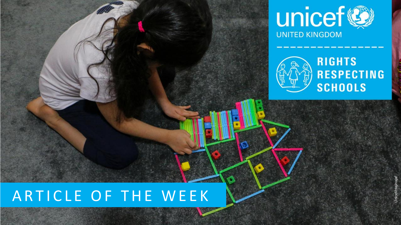



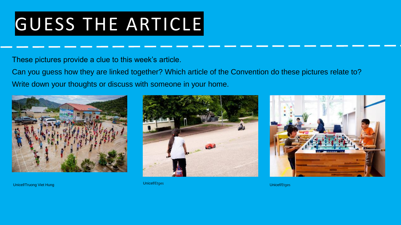## GUESS THE ARTICLE

These pictures provide a clue to this week's article.

Can you guess how they are linked together? Which article of the Convention do these pictures relate to? Write down your thoughts or discuss with someone in your home.







Unicef/Truong Viet Hung Unicef/Etges Unicef/Etges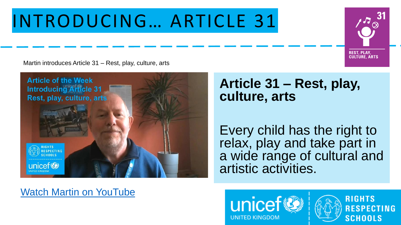#### INTRODUCING… ARTICLE 31

Martin introduces Article 31 – Rest, play, culture, arts



#### **Article 31 – Rest, play, culture, arts**

Every child has the right to relax, play and take part in a wide range of cultural and artistic activities.

#### [Watch Martin on YouTube](https://youtu.be/44YfHkvIi2Y)





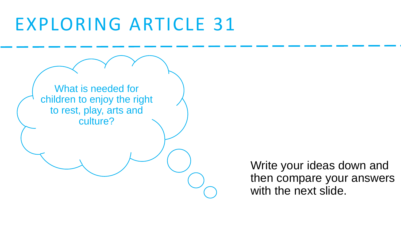#### EXPLORING ARTICLE 31



Write your ideas down and then compare your answers with the next slide.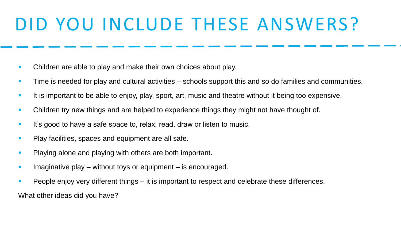## DID YOU INCLUDE THESE ANSWERS?

- Children are able to play and make their own choices about play.
- **EXTERG** Time is needed for play and cultural activities schools support this and so do families and communities.
- **EXTE:** It is important to be able to enjoy, play, sport, art, music and theatre without it being too expensive.
- **EXEC** Children try new things and are helped to experience things they might not have thought of.
- **EXECT** It's good to have a safe space to, relax, read, draw or listen to music.
- Play facilities, spaces and equipment are all safe.
- **Playing alone and playing with others are both important.**
- **EXED** Imaginative play without toys or equipment is encouraged.
- **People enjoy very different things it is important to respect and celebrate these differences.**

What other ideas did you have?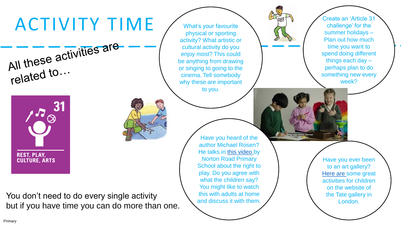# ACTIVITY TIME

What's your favourite physical or sporting activity? What artistic or cultural activity do you enjoy most? This could be anything from drawing or singing to going to the cinema. Tell somebody why these are important to you.

Create an 'Article 31 challenge' for the summer holidays – Plan out how much time you want to spend doing different things each day – perhaps plan to do something new every week?





Have you heard of the author Michael Rosen? He talks in [this video](https://www.youtube.com/watch?time_continue=12&v=-dGjaTWF3KY&feature=emb_logo) by Norton Road Primary School about the right to play. Do you agree with what the children say? You might like to watch this with adults at home and discuss it with them.

Have you ever been to an art gallery? [Here are](https://www.tate.org.uk/kids) some great activities for children on the website of the Tate gallery in London.

Primary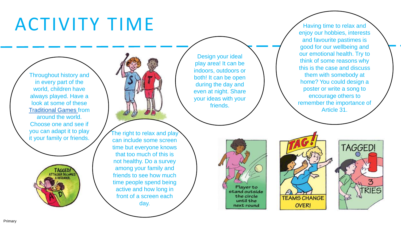#### ACTIVITY TIME

Throughout history and in every part of the world, children have always played. Have a look at some of these [Traditional Games f](https://www.unicef.org.uk/rights-respecting-schools/wp-content/uploads/sites/4/2014/06/UNICEF_TraditionalGames_resource.pdf)rom around the world. Choose one and see if you can adapt it to play it your family or friends.



Design your ideal play area! It can be indoors, outdoors or both! It can be open during the day and even at night. Share your ideas with your friends.

The right to relax and play can include some screen time but everyone knows that too much of this is not healthy. Do a survey among your family and friends to see how much time people spend being active and how long in front of a screen each day.

Having time to relax and enjoy our hobbies, interests and favourite pastimes is good for our wellbeing and our emotional health. Try to think of some reasons why this is the case and discuss them with somebody at home? You could design a poster or write a song to encourage others to remember the importance of Article 31.





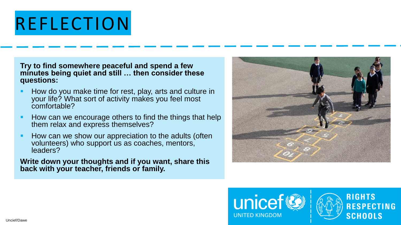#### REFLECTION

**Try to find somewhere peaceful and spend a few minutes being quiet and still … then consider these questions:**

- How do you make time for rest, play, arts and culture in your life? What sort of activity makes you feel most comfortable?
- **How can we encourage others to find the things that help** them relax and express themselves?
- How can we show our appreciation to the adults (often volunteers) who support us as coaches, mentors, leaders?

**Write down your thoughts and if you want, share this back with your teacher, friends or family.**